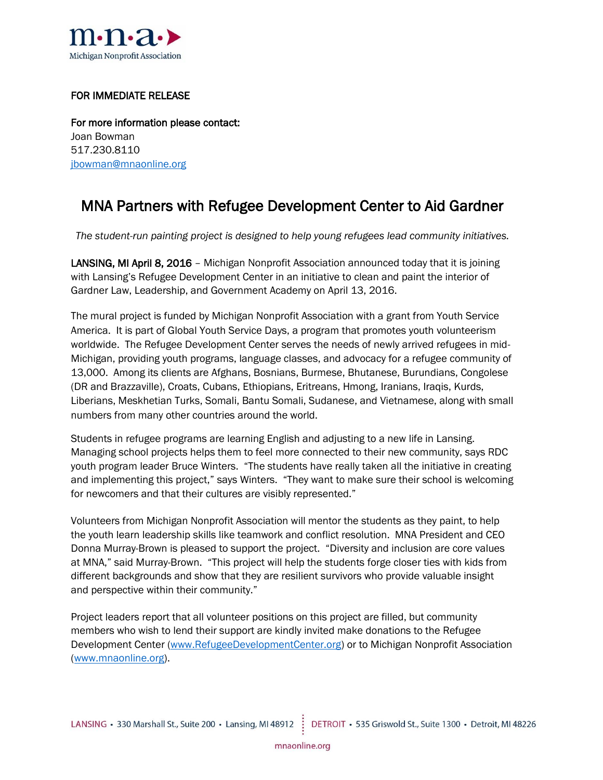

## FOR IMMEDIATE RELEASE

For more information please contact: Joan Bowman 517.230.8110 [jbowman@mnaonline.org](mailto:jbowman@mnaonline.org)

## MNA Partners with Refugee Development Center to Aid Gardner

*The student-run painting project is designed to help young refugees lead community initiatives.*

LANSING, MI April 8, 2016 - Michigan Nonprofit Association announced today that it is joining with Lansing's Refugee Development Center in an initiative to clean and paint the interior of Gardner Law, Leadership, and Government Academy on April 13, 2016.

The mural project is funded by Michigan Nonprofit Association with a grant from Youth Service America. It is part of Global Youth Service Days, a program that promotes youth volunteerism worldwide. The Refugee Development Center serves the needs of newly arrived refugees in mid-Michigan, providing youth programs, language classes, and advocacy for a refugee community of 13,000. Among its clients are Afghans, Bosnians, Burmese, Bhutanese, Burundians, Congolese (DR and Brazzaville), Croats, Cubans, Ethiopians, Eritreans, Hmong, Iranians, Iraqis, Kurds, Liberians, Meskhetian Turks, Somali, Bantu Somali, Sudanese, and Vietnamese, along with small numbers from many other countries around the world.

Students in refugee programs are learning English and adjusting to a new life in Lansing. Managing school projects helps them to feel more connected to their new community, says RDC youth program leader Bruce Winters. "The students have really taken all the initiative in creating and implementing this project," says Winters. "They want to make sure their school is welcoming for newcomers and that their cultures are visibly represented."

Volunteers from Michigan Nonprofit Association will mentor the students as they paint, to help the youth learn leadership skills like teamwork and conflict resolution. MNA President and CEO Donna Murray-Brown is pleased to support the project. "Diversity and inclusion are core values at MNA," said Murray-Brown. "This project will help the students forge closer ties with kids from different backgrounds and show that they are resilient survivors who provide valuable insight and perspective within their community."

Project leaders report that all volunteer positions on this project are filled, but community members who wish to lend their support are kindly invited make donations to the Refugee Development Center [\(www.RefugeeDevelopmentCenter.org\)](http://www.refugeedevelopmentcenter.org/) or to Michigan Nonprofit Association [\(www.mnaonline.org\)](http://www.mnaonline.org/).